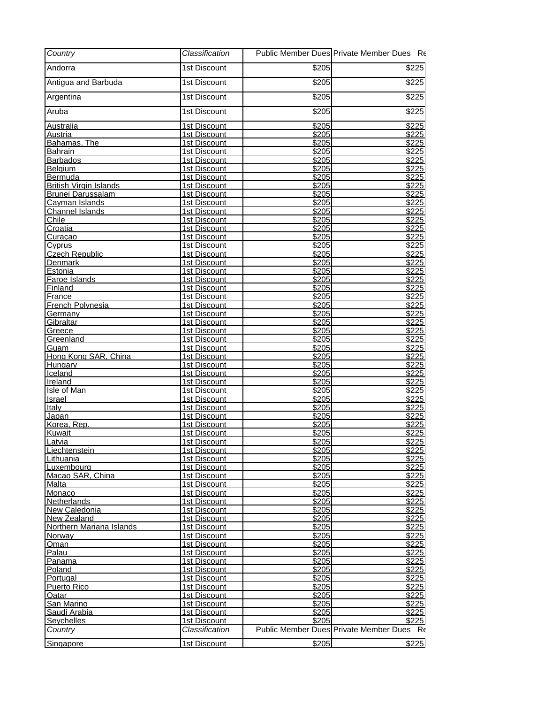| Country                                | Classification                      |                   | Public Member Dues Private Member Dues Re |
|----------------------------------------|-------------------------------------|-------------------|-------------------------------------------|
| Andorra                                | 1st Discount                        | \$205             | \$225                                     |
| Antigua and Barbuda                    | 1st Discount                        | \$205             | \$225                                     |
| Argentina                              | 1st Discount                        | \$205             | $\overline{$}225$                         |
| Aruba                                  | 1st Discount                        | \$205             | $\overline{$225}$                         |
| Australia                              | 1st Discount                        | \$205             | \$225                                     |
| <u>Austria</u>                         | 1st Discount                        | \$205             | \$225                                     |
| Bahamas. The<br><b>Bahrain</b>         | 1st Discount<br>1st Discount        | 3205<br>\$205     | \$225<br>\$225                            |
| <b>Barbados</b>                        | <b>1st Discount</b>                 | \$205             | \$225                                     |
| <b>Belgium</b>                         | 1st Discount                        | \$205             | \$225                                     |
| Bermuda                                | <b>1st Discount</b>                 | \$205             | \$225                                     |
| <b>British Virgin Islands</b>          | 1st Discount                        | \$205             | \$225                                     |
| <b>Brunei Darussalam</b>               | 1st Discount                        | \$205             | \$225                                     |
| Cayman Islands                         | <b>1st Discount</b>                 | \$205             | \$225                                     |
| <b>Channel Islands</b>                 | 1st Discount                        | \$205             | $\sqrt{$225}$                             |
| Chile                                  | 1st Discount                        | \$205             | \$225                                     |
| Croatia                                | 1st Discount                        | $\overline{$}205$ | \$225                                     |
| Curacao                                | 1st Discount                        | \$205<br>\$205    | \$225<br>\$225                            |
| <u>Cyprus</u><br><b>Czech Republic</b> | <b>1st Discount</b>                 | \$205             | \$225                                     |
| Denmark                                | 1st Discount<br>1st Discount        | \$205             | \$225                                     |
| <u>Estonia</u>                         | <b>1st Discount</b>                 | \$205             | \$225                                     |
| Faroe Islands                          | 1st Discount                        | \$205             | \$225                                     |
| <b>Finland</b>                         | 1st Discount                        | \$205             | \$225                                     |
| France                                 | 1st Discount                        | \$205             | \$225                                     |
| French Polynesia                       | 1st Discount                        | \$205             | \$225                                     |
| Germany                                | 1st Discount                        | \$205             | \$225                                     |
| Gibraltar                              | 1st Discount                        | \$205             | \$225                                     |
| <u>Greece</u>                          | 1st Discount                        | \$205             | \$225                                     |
| Greenland                              | 1st Discount                        | \$205             | \$225                                     |
| Guam                                   | 1st Discount                        | \$205             | \$225                                     |
| Hong Kong SAR, China                   | 1st Discount                        | \$205             | \$225                                     |
| Hungary<br>Iceland                     | 1st Discount<br>1st Discount        | \$205<br>\$205    | \$225<br>\$225                            |
| Ireland                                | <b>1st Discount</b>                 | \$205             | \$225                                     |
| <b>Isle of Man</b>                     | 1st Discount                        | \$205             | \$225                                     |
| Israel                                 | <b>1st Discount</b>                 | \$205             | \$225                                     |
| Italy                                  | 1st Discount                        | \$205             | \$225                                     |
| Japan                                  | 1st Discount                        | \$205             | \$225                                     |
| Korea, Rep                             | 1st Discount                        | \$205             | \$225                                     |
| Kuwait                                 | 1st Discount                        | \$205             | \$225                                     |
| Latvia                                 | <b>1st Discount</b>                 | \$205             | \$225                                     |
| Liechtenstein                          | 1st Discount                        | \$205             | \$225                                     |
| Lithuania                              | 1st Discount                        | \$205             | \$225                                     |
| Luxembourg<br>Macao SAR, China         | 1st Discount<br>1st Discount        | \$205<br>\$205    | \$225<br>\$225                            |
| Malta                                  | 1st Discount                        | \$205             | \$225                                     |
| Monaco                                 | 1st Discount                        | \$205             | \$225                                     |
| <b>Netherlands</b>                     | <b>1st Discount</b>                 | \$205             | \$225                                     |
| New Caledonia                          | 1st Discount                        | \$205             | \$225                                     |
| New Zealand                            | 1st Discount                        | \$205             | \$225                                     |
| Northern Mariana Islands               | 1st Discount                        | \$205             | \$225                                     |
| Norway                                 | 1st Discount                        | $\overline{$}205$ | \$225                                     |
| <u>Oman</u>                            | <b>1st Discount</b>                 | \$205             | \$225                                     |
| Palau                                  | 1st Discount                        | \$205             | \$225                                     |
| Panama                                 | 1st Discount                        | \$205             | \$225                                     |
| Poland                                 | 1st Discount                        | \$205<br>\$205    | \$225<br>\$225                            |
| Portugal<br>Puerto Rico                | 1st Discount<br><b>1st Discount</b> | \$205             | \$225                                     |
| Qatar                                  | <b>1st Discount</b>                 | \$205             | \$225                                     |
| San Marino                             | 1st Discount                        | \$205             | \$225                                     |
| Saudi Arabia                           | 1st Discount                        | \$205             | \$225                                     |
| <b>Seychelles</b>                      | 1st Discount                        | \$205             | \$225                                     |
| Country                                | Classification                      |                   | Public Member Dues Private Member Dues Re |
| Singapore                              | 1st Discount                        | \$205             | \$225                                     |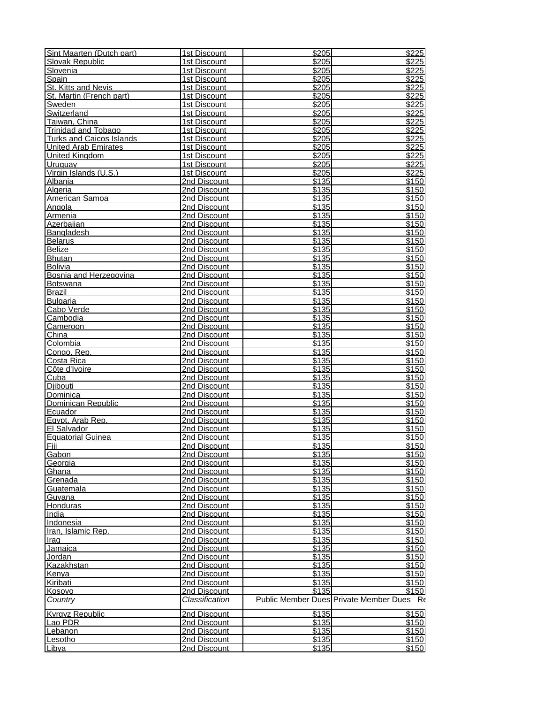| Sint Maarten (Dutch part)       | 1st Discount                 | \$205             | \$225                                     |
|---------------------------------|------------------------------|-------------------|-------------------------------------------|
| Slovak Republic                 | 1st Discount                 | \$205             | \$225                                     |
| Slovenia                        | 1st Discount                 | \$205             | \$225                                     |
| Spain                           | 1st Discount                 | \$205             | \$225                                     |
| St. Kitts and Nevis             | 1st Discount                 | \$205             | \$225                                     |
| St. Martin (French part)        | 1st Discount                 | \$205             | \$225                                     |
| Sweden<br>Switzerland           | 1st Discount                 | \$205<br>\$205    | \$225<br>\$225                            |
| Taiwan, China                   | 1st Discount<br>1st Discount | \$205             | \$225                                     |
| <b>Trinidad and Tobago</b>      | 1st Discount                 | \$205             | \$225                                     |
| <b>Turks and Caicos Islands</b> | 1st Discount                 | \$205             | \$225                                     |
| <b>United Arab Emirates</b>     | 1st Discount                 | \$205             | \$225                                     |
| United Kinadom                  | 1st Discount                 | \$205             | \$225                                     |
| Uruguay                         | 1st Discount                 | \$205             | \$225                                     |
| Virgin Islands (U.S.)           | 1st Discount                 | \$205             | \$225                                     |
| Albania                         | 2nd Discount                 | \$135             | \$150                                     |
| Algeria                         | 2nd Discount                 | $\overline{$135}$ | \$150                                     |
| American Samoa                  | 2nd Discount                 | \$135             | \$150                                     |
| Angola                          | 2nd Discount                 | \$135             | \$150                                     |
| Armenia                         | 2nd Discount                 | \$135             | \$150                                     |
| Azerbaijan                      | 2nd Discount                 | \$135             | \$150                                     |
| Bangladesh                      | 2nd Discount                 | \$135             | \$150                                     |
| <b>Belarus</b>                  | 2nd Discount                 | \$135             | \$150                                     |
| <b>Belize</b><br><b>Bhutan</b>  | 2nd Discount<br>2nd Discount | \$135<br>\$135    | \$150<br>\$150                            |
| <b>Bolivia</b>                  | 2nd Discount                 | \$135             | \$150                                     |
| Bosnia and Herzegovina          | 2nd Discount                 | \$135             | \$150                                     |
| <b>Botswana</b>                 | 2nd Discount                 | \$135             | \$150                                     |
| <b>Brazil</b>                   | 2nd Discount                 | \$135             | \$150                                     |
| <b>Bulgaria</b>                 | 2nd Discount                 | \$135             | \$150                                     |
| Cabo Verde                      | 2nd Discount                 | \$135             | \$150                                     |
| Cambodia                        | 2nd Discount                 | \$135             | \$150                                     |
| Cameroon                        | 2nd Discount                 | \$135             | \$150                                     |
| $\overline{China}$              | 2nd Discount                 | \$135             | \$150                                     |
| Colombia                        | 2nd Discount                 | \$135             | \$150                                     |
| Congo, Rep.                     | 2nd Discount                 | \$135             | \$150                                     |
| Costa Rica                      | 2nd Discount                 | \$135             | \$150                                     |
| Côte d'Ivoire                   | 2nd Discount                 | \$135             | \$150                                     |
| $\overline{\text{Cuba}}$        | 2nd Discount                 | \$135             | \$150                                     |
| Diibouti                        | 2nd Discount                 | \$135<br>\$135    | \$150                                     |
| Dominica<br>Dominican Republic  | 2nd Discount<br>2nd Discount | \$135             | \$150<br>\$150                            |
| Ecuador                         | 2nd Discount                 | \$135             | \$150                                     |
| Egypt, Arab Rep.                | 2nd Discount                 | \$135             | \$150                                     |
| El Salvador                     | 2nd Discount                 | \$135             | \$150                                     |
| <b>Equatorial Guinea</b>        | 2nd Discount                 | \$135             | \$150                                     |
| Fiji                            | 2nd Discount                 | \$135             | \$150                                     |
| Gabon                           | 2nd Discount                 | \$135             | \$150                                     |
| Georgia                         | 2nd Discount                 | \$135             | \$150                                     |
| Ghana                           | 2nd Discount                 | \$135             | \$150                                     |
| Grenada                         | 2nd Discount                 | \$135             | \$150                                     |
| Guatemala                       | 2nd Discount                 | \$135             | \$150                                     |
| Guvana                          | 2nd Discount                 | \$135             | \$150                                     |
| Honduras                        | 2nd Discount                 | \$135             | \$150                                     |
| India                           | 2nd Discount                 | \$135             | \$150                                     |
| Indonesia<br>Iran, Islamic Rep. | 2nd Discount<br>2nd Discount | \$135<br>\$135    | \$150<br>\$150                            |
| Irag                            | 2nd Discount                 | \$135             | \$150                                     |
| <b>Jamaica</b>                  | 2nd Discount                 | \$135             | \$150                                     |
| Jordan                          | 2nd Discount                 | \$135             | \$150                                     |
| <b>Kazakhstan</b>               | 2nd Discount                 | \$135             | \$150                                     |
| <u>Kenya</u>                    | 2nd Discount                 | \$135             | \$150                                     |
| Kiribati                        | 2nd Discount                 | \$135             | \$150                                     |
| <u>Kosovo</u>                   | 2nd Discount                 | \$135             | \$150                                     |
| Country                         | Classification               |                   | Public Member Dues Private Member Dues Re |
| <b>Kyrgyz Republic</b>          | 2nd Discount                 | \$135             | \$150                                     |
| Lao PDR                         | 2nd Discount                 | \$135             | \$150                                     |
| Lebanon                         | 2nd Discount                 | \$135             | \$150                                     |
| Lesotho                         | 2nd Discount                 | \$135             | \$150                                     |
| Libya                           | 2nd Discount                 | \$135             | \$150                                     |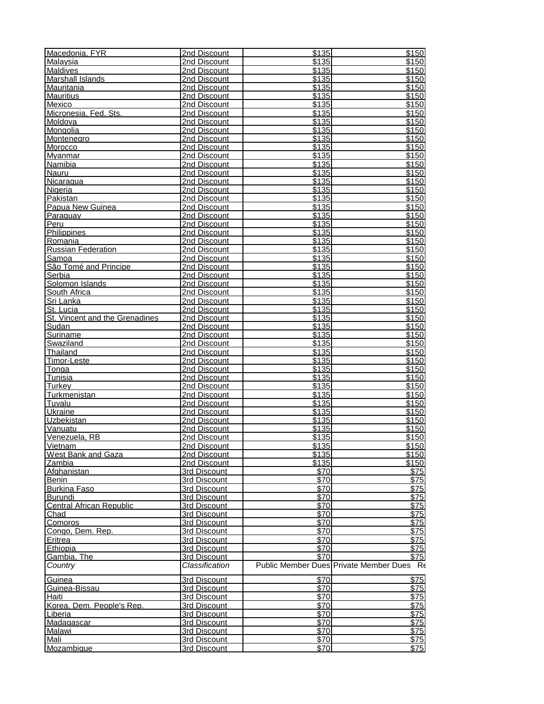| Macedonia, FYR                            | 2nd Discount                 | $\overline{$}135$ | \$150                                     |
|-------------------------------------------|------------------------------|-------------------|-------------------------------------------|
| Malaysia                                  | 2nd Discount                 | \$135             | \$150                                     |
| <b>Maldives</b>                           | 2nd Discount                 | \$135             | \$150                                     |
| <b>Marshall Islands</b><br>Mauritania     | 2nd Discount<br>2nd Discount | \$135<br>\$135    | \$150<br>\$150                            |
| <b>Mauritius</b>                          | 2nd Discount                 | \$135             | \$150                                     |
| Mexico                                    | 2nd Discount                 | \$135             | \$150                                     |
| Micronesia, Fed. Sts.                     | 2nd Discount                 | \$135             | \$150                                     |
| Moldova                                   | 2nd Discount                 | \$135             | \$150                                     |
| Mongolia                                  | 2nd Discount                 | \$135             | \$150                                     |
| Montenegro                                | 2nd Discount                 | \$135             | \$150                                     |
| Morocco                                   | 2nd Discount                 | \$135             | \$150                                     |
| Mvanmar                                   | 2nd Discount                 | \$135             | \$150                                     |
| Namibia                                   | 2nd Discount                 | \$135             | \$150                                     |
| Nauru                                     | 2nd Discount<br>2nd Discount | \$135             | \$150                                     |
| Nicaragua<br>Nigeria                      | 2nd Discount                 | \$135<br>\$135    | \$150<br>\$150                            |
| Pakistan                                  | 2nd Discount                 | \$135             | \$150                                     |
| Papua New Guinea                          | 2nd Discount                 | \$135             | \$150                                     |
| Paraguay                                  | 2nd Discount                 | \$135             | \$150                                     |
| Peru                                      | 2nd Discount                 | \$135             | \$150                                     |
| Philippines                               | 2nd Discount                 | \$135             | \$150                                     |
| Romania                                   | 2nd Discount                 | \$135             | \$150                                     |
| <b>Russian Federation</b>                 | 2nd Discount                 | \$135             | \$150                                     |
| Samoa                                     | 2nd Discount                 | \$135             | \$150                                     |
| São Tomé and Principe                     | 2nd Discount                 | \$135             | \$150                                     |
| Serbia<br>Solomon Islands                 | 2nd Discount<br>2nd Discount | \$135<br>\$135    | \$150                                     |
| South Africa                              | 2nd Discount                 | \$135             | \$150<br>\$150                            |
| Sri Lanka                                 | 2nd Discount                 | \$135             | \$150                                     |
| St. Lucia                                 | 2nd Discount                 | \$135             | \$150                                     |
| St. Vincent and the Grenadines            | 2nd Discount                 | $\overline{$135}$ | \$150                                     |
| Sudan                                     | 2nd Discount                 | \$135             | \$150                                     |
| Suriname                                  | 2nd Discount                 | \$135             | \$150                                     |
| Swaziland                                 | 2nd Discount                 | \$135             | \$150                                     |
| <b>Thailand</b>                           | 2nd Discount                 | \$135             | \$150                                     |
| Timor-Leste                               | 2nd Discount                 | \$135             | \$150                                     |
| Tonga                                     | 2nd Discount                 | \$135             | \$150                                     |
| <b>Tunisia</b>                            | 2nd Discount                 | \$135             | \$150                                     |
| Turkev                                    | 2nd Discount                 | \$135<br>\$135    | \$150                                     |
| <b>Turkmenistan</b><br>Tuvalu             | 2nd Discount<br>2nd Discount | \$135             | \$150<br>\$150                            |
| Ukraine                                   | 2nd Discount                 | \$135             | \$150                                     |
| <b>Uzbekistan</b>                         | 2nd Discount                 | \$135             | \$150                                     |
| Vanuatu                                   | 2nd Discount                 | \$135             | \$150                                     |
| Venezuela, RB                             | 2nd Discount                 | \$135             | \$150                                     |
| Vietnam                                   | 2nd Discount                 | \$135             | \$150                                     |
| <b>West Bank and Gaza</b>                 | 2nd Discount                 | \$135             | \$150                                     |
| Zambia                                    | 2nd Discount                 | \$135             | \$150                                     |
| Afghanistan                               | 3rd Discount                 | \$70              | \$75                                      |
| <b>Benin</b>                              | 3rd Discount                 | \$70              | \$75                                      |
| <b>Burkina Faso</b><br>Burundi            | 3rd Discount<br>3rd Discount | \$70<br>\$70      | \$75<br>\$75                              |
| <b>Central African Republic</b>           | 3rd Discount                 | \$70              | $\overline{$75}$                          |
| Chad                                      | 3rd Discount                 | \$70              | \$75                                      |
| <b>Comoros</b>                            | 3rd Discount                 | \$70              | \$75                                      |
| Congo, Dem. Rep.                          | 3rd Discount                 | \$70              | \$75                                      |
| Eritrea                                   | 3rd Discount                 | \$70              | \$75                                      |
| Ethiopia                                  | 3rd Discount                 | \$70              | \$75                                      |
| Gambia, The                               | 3rd Discount                 | \$70              | $\overline{$75}$                          |
| Country                                   | Classification               |                   | Public Member Dues Private Member Dues Re |
| Guinea                                    | 3rd Discount                 | \$70              | \$75                                      |
| Guinea-Bissau                             | 3rd Discount                 | \$70              | $\overline{$75}$                          |
| <u>Haiti</u><br>Korea, Dem. People's Rep. | 3rd Discount                 | \$70<br>\$70      | \$75<br>\$75                              |
| Liberia                                   | 3rd Discount<br>3rd Discount | \$70              | \$75                                      |
| Madagascar                                | 3rd Discount                 | \$70              | $\overline{$75}$                          |
| Malawi                                    | 3rd Discount                 | \$70              | $\sqrt{575}$                              |
| <u>Mali</u>                               | 3rd Discount                 | \$70              | \$75                                      |
| Mozambique                                | 3rd Discount                 | \$70              | \$75                                      |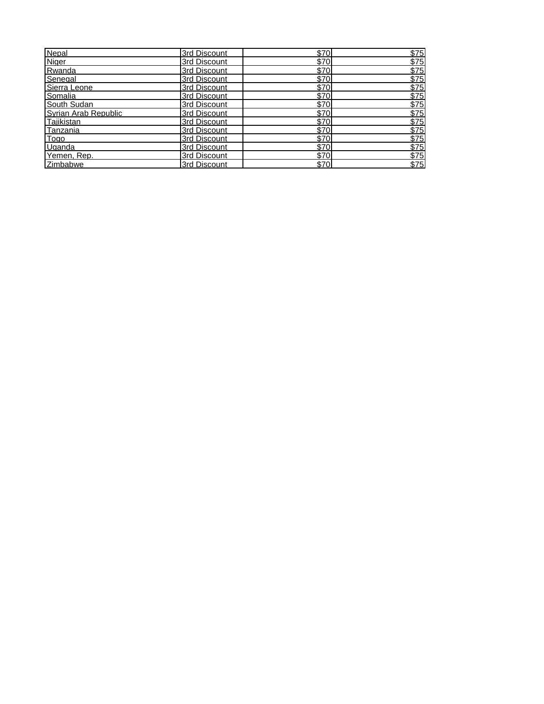| Nepal                | 3rd Discount | \$70 | \$75             |
|----------------------|--------------|------|------------------|
| Niger                | 3rd Discount | \$70 | \$75             |
| Rwanda               | 3rd Discount | \$70 | $\overline{$75}$ |
| Senegal              | 3rd Discount | \$70 | $\overline{$75}$ |
| Sierra Leone         | 3rd Discount | \$70 | \$75             |
| Somalia              | 3rd Discount | \$70 | $\overline{$75}$ |
| South Sudan          | 3rd Discount | \$70 | \$75             |
| Syrian Arab Republic | 3rd Discount | \$70 | \$75             |
| Taiikistan           | 3rd Discount | \$70 | \$75             |
| Tanzania             | 3rd Discount | \$70 | \$75             |
| Togo                 | 3rd Discount | \$70 | \$75             |
| Uganda               | 3rd Discount | \$70 | \$75             |
| Yemen, Rep.          | 3rd Discount | \$70 | $\overline{$75}$ |
| <b>Zimbabwe</b>      | 3rd Discount | \$70 | \$75             |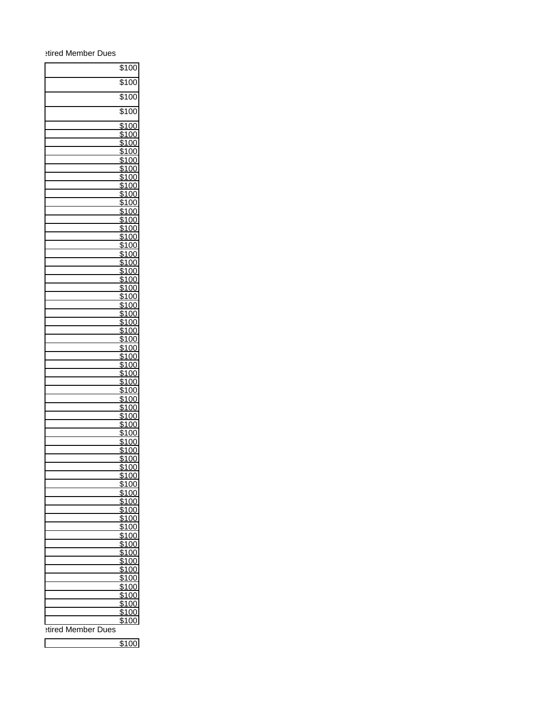## etired Member Dues

|                    | \$100                      |  |
|--------------------|----------------------------|--|
|                    | \$100                      |  |
|                    | \$100                      |  |
|                    | \$100                      |  |
|                    |                            |  |
|                    | \$100<br>\$100             |  |
|                    | \$100                      |  |
|                    | \$100                      |  |
|                    | $\frac{1}{100}$            |  |
|                    | \$100<br>\$100             |  |
|                    | \$100                      |  |
|                    | \$100                      |  |
|                    | \$100                      |  |
|                    | \$100<br>\$100             |  |
|                    | \$100                      |  |
|                    | \$100                      |  |
|                    | \$100                      |  |
|                    | \$100<br>\$100             |  |
|                    | $\overline{$}100$          |  |
|                    | \$100                      |  |
|                    | \$100                      |  |
|                    | \$100                      |  |
|                    | \$100<br>$\overline{$}100$ |  |
|                    | \$100                      |  |
|                    | \$100                      |  |
|                    | \$100                      |  |
|                    | \$100<br>$\overline{$}100$ |  |
|                    | \$100                      |  |
|                    | \$100                      |  |
|                    | \$100<br>\$100             |  |
|                    | \$100                      |  |
|                    | \$100                      |  |
|                    | \$100                      |  |
|                    | \$100                      |  |
|                    | \$100<br>$\overline{$}100$ |  |
|                    | \$100                      |  |
|                    | \$100                      |  |
|                    | \$100                      |  |
|                    | \$100                      |  |
|                    | \$100<br>\$100             |  |
|                    | \$100                      |  |
|                    | \$100                      |  |
|                    | \$100                      |  |
|                    | \$100<br>\$10              |  |
|                    | \$100                      |  |
|                    | \$100                      |  |
|                    | \$100                      |  |
|                    | \$100<br>\$100             |  |
|                    | \$100                      |  |
|                    | \$100                      |  |
|                    | \$100                      |  |
|                    | \$100<br>\$100             |  |
| stired Member Dues |                            |  |
|                    |                            |  |

\$100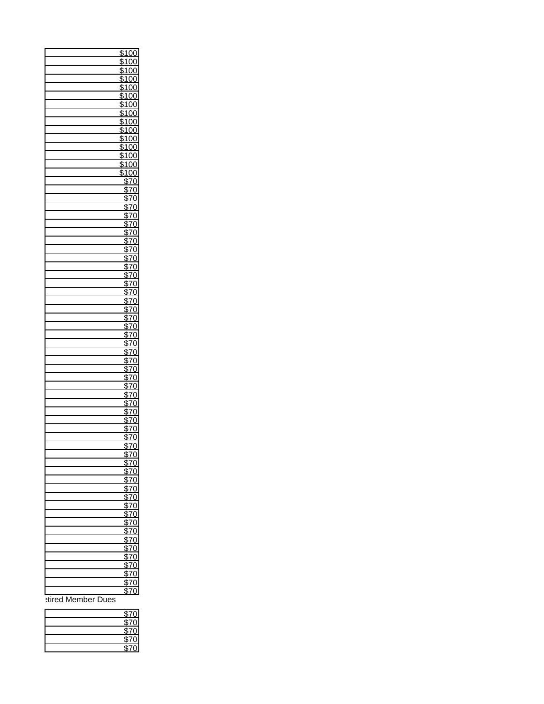| \$100              |
|--------------------|
| \$100              |
| \$100              |
| \$100              |
| \$100              |
| $\frac{1}{100}$    |
| \$100              |
| \$100              |
| \$100              |
| \$100              |
| \$100              |
| \$100              |
| \$100              |
| \$100              |
| \$100              |
| \$70               |
| \$70               |
| \$70               |
| \$70               |
| \$70               |
| \$70               |
| \$70               |
| \$70               |
| \$70               |
| \$70               |
|                    |
| \$70               |
| \$70               |
| \$70               |
| \$70               |
| \$70               |
| \$70               |
| \$70               |
| \$70               |
| \$70               |
| \$70               |
| \$70               |
| \$70               |
| \$70               |
| \$70               |
| \$70               |
| \$70               |
| \$70               |
| \$70               |
| \$70               |
| \$70               |
| \$70               |
| \$70               |
| \$70               |
| \$70               |
| \$70               |
| \$70               |
| \$70               |
| \$70               |
| \$70               |
| \$70               |
| \$70               |
| \$70               |
| \$70               |
| \$70               |
| \$70               |
| \$70               |
| \$70               |
| \$70               |
| \$70               |
| stired Member Dues |
|                    |
|                    |

| \$70 |  |
|------|--|
| \$70 |  |
| \$70 |  |
| \$70 |  |
|      |  |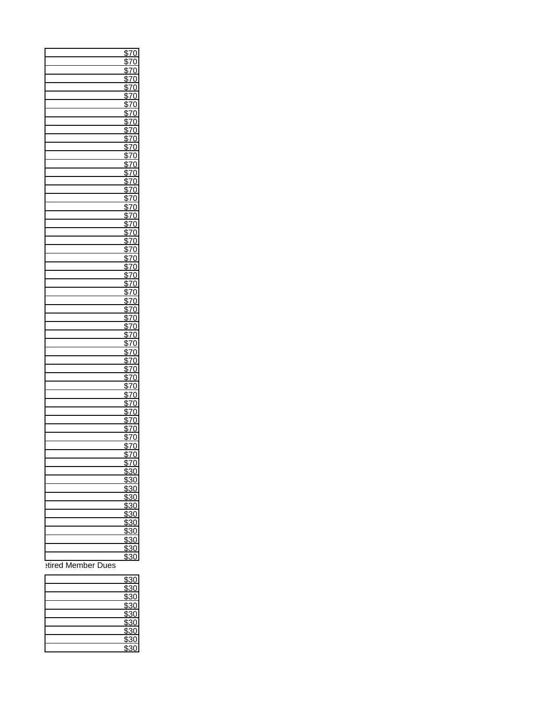| \$70             |
|------------------|
| \$70             |
| \$70             |
| \$70             |
|                  |
| \$70             |
| \$70             |
| $\overline{$70}$ |
| \$7(             |
| \$70             |
| \$70             |
| \$70             |
| \$70             |
| $\overline{$7(}$ |
| \$70             |
| \$70             |
| \$70             |
| \$70             |
| \$7(             |
| \$70             |
|                  |
| \$70             |
| \$70             |
| \$70             |
| \$7(             |
| \$70<br>\$70     |
|                  |
| \$70             |
| \$70             |
| $\overline{$7(}$ |
|                  |
| \$70<br>\$70     |
| \$70             |
| \$70             |
| \$7(             |
| \$70             |
| $\overline{$7}$  |
| \$70             |
| \$70             |
| \$70             |
| \$70             |
| $\overline{37}$  |
|                  |
| \$70             |
| \$70             |
| \$70             |
| \$70             |
| $\overline{570}$ |
| \$70             |
| <u>১/ሀ</u>       |
| \$70             |
| \$70             |
| \$30             |
| \$30             |
| \$30             |
| \$30             |
| \$30             |
| \$30             |
| \$30             |
| \$30             |
| \$30             |
| \$30             |
|                  |
| \$30             |

etired Member Dues

| \$30                                         |
|----------------------------------------------|
| $\frac{880}{330}$                            |
| \$30                                         |
| \$30<br>\$30<br>\$30<br>\$30<br>\$30<br>\$30 |
|                                              |
|                                              |
|                                              |
|                                              |
|                                              |
|                                              |